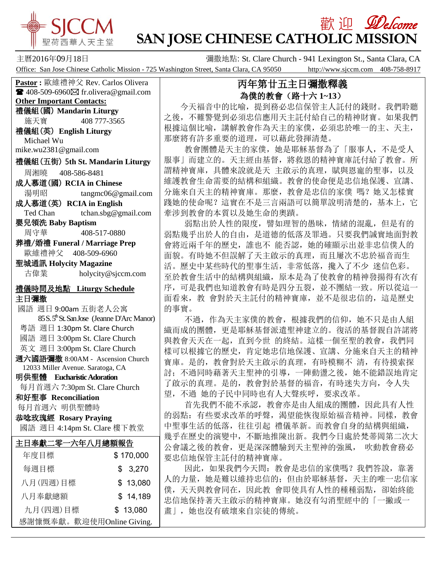

## 歡 迎 *见elcome* **SAN JOSE CHINESE CATHOLIC MISSION**

主曆2016年09月18日 彌撒地點: St. Clare Church - 941 Lexington St., Santa Clara, CA Office: San Jose Chinese Catholic Mission - 725 Washington Street, Santa Clara, CA 95050 http://www.sjccm.com 408-758-8917

**Pastor :** 歐維禮神父 Rev. Carlos Olivera  $\blacksquare$  408-509-6960 $\boxtimes$  fr.olivera@gmail.com **Other Important Contacts:** 禮儀組(國) **Mandarin Liturgy** 施天寶 408 777-3565 禮儀組(英) **English Liturgy** Michael Wu mike.wu2381@gmail.com 禮儀組(五街) 5**th St. Mandarin Liturgy** 周湘曉 408-586-8481 成人慕道(國) **RCIA in Chinese** 湯明昭 tangmc06@gmail.com 成人慕道(英) **RCIA in English** Ted Chan tchan.sbg@gmail.com 嬰兒領洗 **Baby Baptism** 周守華 408-517-0880 葬禮/婚禮 **Funeral / Marriage Prep** 歐維禮神父 408-509-6960 聖城通訊 **Holycity Magazine** 古偉業 [holycity@sjccm.com](mailto:holycity@sjccm.com)禮儀時間及地點 **Liturgy Schedule** 主日彌撒 國語 週日 9:00am 五街老人公寓 85 S. 5<sup>th</sup> St. San Jose (Jeanne D'Arc Manor) 粵語 週日 1:30pm St. Clare Church 國語 週日 3:00pm St. Clare Church 英文 週日 3:00pm St. Clare Church 週六國語彌撒 8:00AM - Ascension Church 12033 Miller Avenue. Saratoga, CA 明供聖體 **Eucharistic Adoration** 每月首週六 7:30pm St. Clare Church 和好聖事 **Reconciliation** 每月首週六 明供聖體時 恭唸玫瑰經 **Rosary Praying** 國語 週日 4:14pm St. Clare 樓下教堂í 主日奉獻二零一六年八月總額報告 年度目標 \$ 170,000 每週目標 \$ 3.270 八月(四週)目標 \$ 13,080 八月奉獻總額 \$ 14.189 九月(四週)目標 \$ 13,080 感謝慷慨奉獻。歡迎使用Online Giving.

## 丙年第廿五主日彌撒釋義 為僕的教會(路十六 **1~13**)

 今天福音中的比喻,提到務必忠信保管主人託付的錢財。我們聆聽 之後,不難警覺到必須忠信應用天主託付給自己的精神財寶。如果我們 根據這個比喻,講解教會作為天主的家僕,必須忠於唯一的主、天主, 那麼將有許多重要的道理,可以藉此發揮清楚。

 教會團體是天主的家僕,她是耶穌基督為了「服事人,不是受人 服事」而建立的。天主經由基督,將救恩的精神寶庫託付給了教會。所 謂精神寶庫,具體來說就是天 主啟示的真理,賦與恩寵的聖事,以及 維護教會生命需要的結構和組織。教會的使命便是忠信地保護、宣講、 分施來自天主的精神寶庫。那麼,教會是忠信的家僕 嗎?她又怎樣實 踐她的使命呢?這實在不是三言兩語可以簡單說明清楚的,基本上,它 牽涉到教會的本質以及她生命的奧蹟。

弱點出於人性的限度, 譬如理智的愚昧, 情緒的混亂, 但是有的 弱點幾乎出於人的自由,是道德的低落及罪過。只要我們誠實地面對教 會將近兩千年的歷史,誰也不 能否認,她的確顯示出並非忠信僕人的 面貌。有時她不但誤解了天主啟示的真理,而且屢次不忠於福音而生 活。歷史中某些時代的聖事生活,非常低落,攙入了不少 迷信色彩。 至於教會生活中的結構與組織,原本是為了使教會的精神發揚得有次有 序,可是我們也知道教會有時是四分五裂,並不團結一致。所以從這一 面看來,教 會對於天主託付的精神寶庫,並不是很忠信的,這是歷史 的事實。

 不過,作為天主家僕的教會,根據我們的信仰,她不只是由人組 織而成的團體,更是耶穌基督派遣聖神建立的。復活的基督親自許諾將 與教會天天在一起,直到今世 的終結。這樣一個至聖的教會,我們同 樣可以根據它的歷史,肯定她忠信地保護、宣講、分施來自天主的精神 寶庫。是的,教會對於天主啟示的真理,有時模糊不 清,有待摸索探 討;不過同時藉著天主聖神的引導,一陣動盪之後,她不能錯誤地肯定 了啟示的真理。是的,教會對於基督的福音,有時迷失方向,令人失 望,不過 她的子民中同時也有人大聲疾呼,要求改革。

 首先我們不能不承認,教會亦是由人組成的團體,因此具有人性 的弱點: 有些要求改革的呼聲, 渴望能恢復原始福音精神。同樣, 教會 中聖事生活的低落,往往引起 禮儀革新。而教會自身的結構與組織, 幾乎在歷史的演變中,不斷地推陳出新。我們今日處於梵蒂岡第二次大 公會議之後的教會,更是深深體驗到天主聖神的強風, 吹動教會務必 要忠信地保管主託付的精神寶庫。

因此,如果我們今天問:教會是忠信的家僕嗎?我們答說,靠著 人的力量,她是難以維持忠信的;但由於耶穌基督,天主的唯一忠信家 僕,天天與教會同在,因此教 會即使具有人性的種種弱點,卻始終能 忠信地保持著天主啟示的精神寶庫。她沒有勾消聖經中的「一撇或一 畫」,她也沒有破壞來自宗徒的傳統。